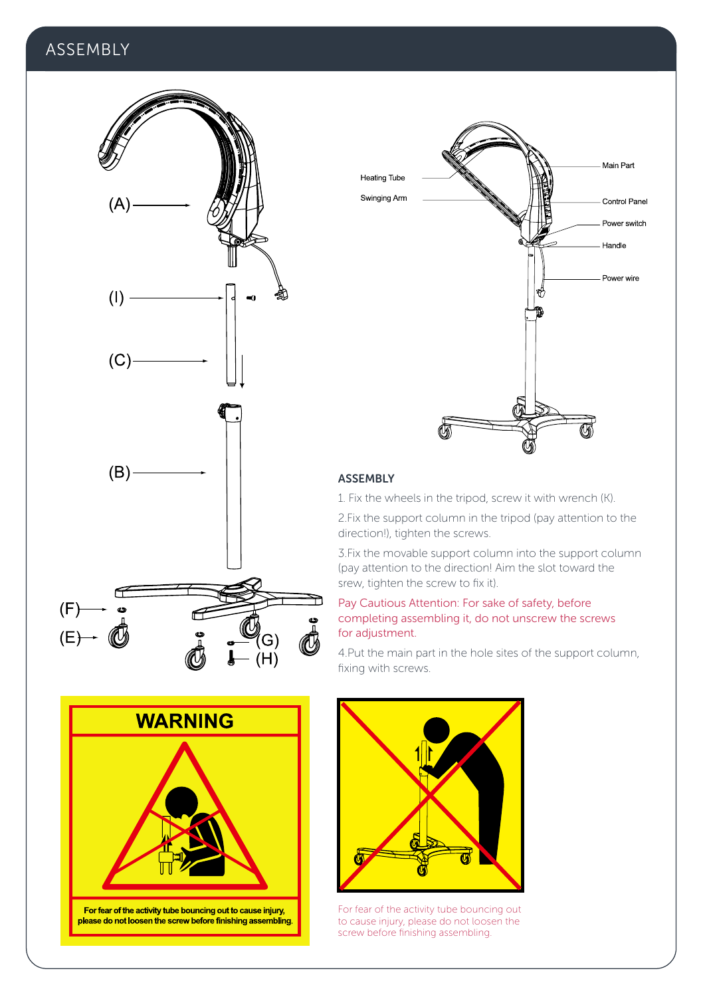# **ASSEMBLY**





## ASSEMBLY

1. Fix the wheels in the tripod, screw it with wrench (K).

2.Fix the support column in the tripod (pay attention to the direction!), tighten the screws.

3.Fix the movable support column into the support column (pay attention to the direction! Aim the slot toward the srew, tighten the screw to fix it).

## Pay Cautious Attention: For sake of safety, before completing assembling it, do not unscrew the screws for adjustment.

4.Put the main part in the hole sites of the support column, fixing with screws.





For fear of the activity tube bouncing out to cause injury, please do not loosen the screw before finishing assembling.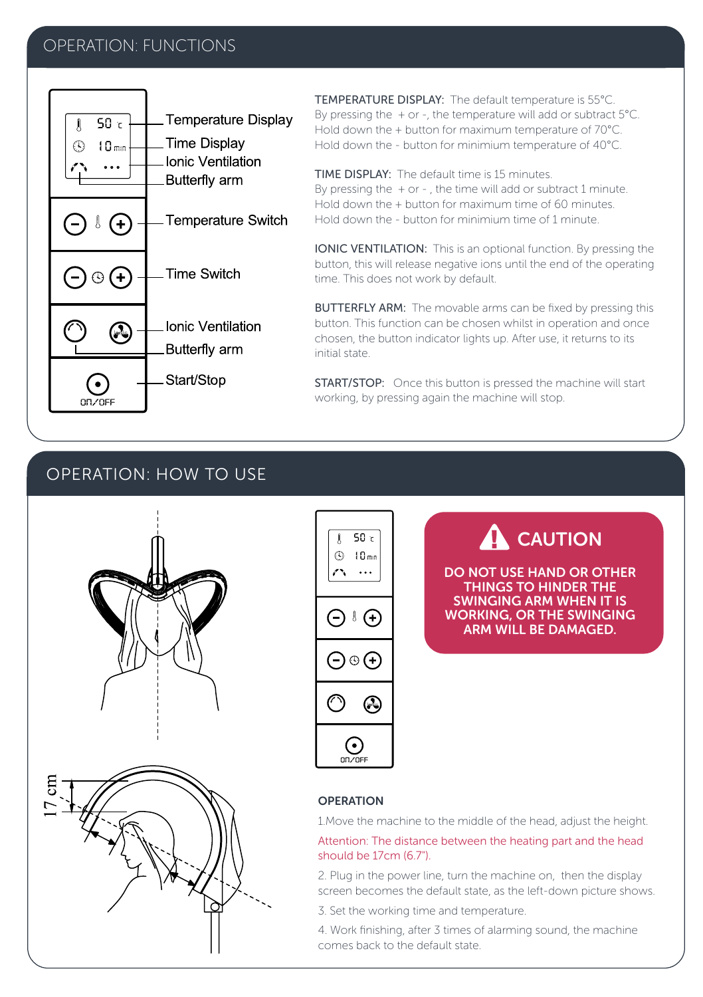# OPERATION: FUNCTIONS



TEMPERATURE DISPLAY: The default temperature is 55°C. By pressing the  $+$  or -, the temperature will add or subtract 5°C. Hold down the + button for maximum temperature of 70°C. Hold down the - button for minimium temperature of 40°C.

TIME DISPLAY: The default time is 15 minutes. By pressing the  $+$  or - , the time will add or subtract 1 minute. Hold down the + button for maximum time of 60 minutes. Hold down the - button for minimium time of 1 minute.

IONIC VENTILATION: This is an optional function. By pressing the button, this will release negative ions until the end of the operating time. This does not work by default.

BUTTERFLY ARM: The movable arms can be fixed by pressing this button. This function can be chosen whilst in operation and once chosen, the button indicator lights up. After use, it returns to its initial state.

START/STOP: Once this button is pressed the machine will start working, by pressing again the machine will stop.

# OPERATION: HOW TO USE



$$
\begin{array}{|c|} \hline \left( \begin{array}{c} \text{J} & \text{SO} \ \text{C} \\ \text{O} & \text{10} \ \text{m} \\ \text{O} & \text{O} \end{array} \right) \\ \hline \text{O} & \text{O} \end{array} \\\hline \text{O} & \text{O} \end{array}
$$

**A** CAUTION

DO NOT USE HAND OR OTHER THINGS TO HINDER THE SWINGING ARM WHEN IT IS WORKING, OR THE SWINGING ARM WILL BE DAMAGED.

## OPERATION

1.Move the machine to the middle of the head, adjust the height.

Attention: The distance between the heating part and the head should be 17cm (6.7").

2. Plug in the power line, turn the machine on, then the display screen becomes the default state, as the left-down picture shows.

3. Set the working time and temperature.

4. Work finishing, after 3 times of alarming sound, the machine comes back to the default state.